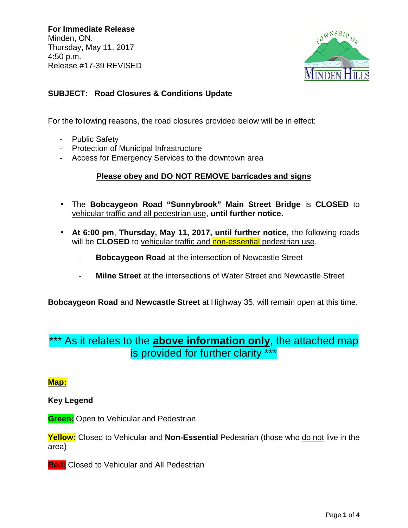**For Immediate Release** Minden, ON. Thursday, May 11, 2017 4:50 p.m. Release #17-39 REVISED



## **SUBJECT: Road Closures & Conditions Update**

For the following reasons, the road closures provided below will be in effect:

- Public Safety
- Protection of Municipal Infrastructure
- Access for Emergency Services to the downtown area

### **Please obey and DO NOT REMOVE barricades and signs**

- The **Bobcaygeon Road "Sunnybrook" Main Street Bridge** is **CLOSED** to vehicular traffic and all pedestrian use, **until further notice**.
- **At 6:00 pm**, **Thursday, May 11, 2017, until further notice,** the following roads will be **CLOSED** to vehicular traffic and non-essential pedestrian use.
	- **Bobcaygeon Road** at the intersection of Newcastle Street
	- **Milne Street** at the intersections of Water Street and Newcastle Street

**Bobcaygeon Road** and **Newcastle Street** at Highway 35, will remain open at this time.

# As it relates to the **above information only**, the attached map is provided for further clarity \*\*\*

#### **Map:**

#### **Key Legend**

**Green:** Open to Vehicular and Pedestrian

**Yellow:** Closed to Vehicular and **Non-Essential** Pedestrian (those who do not live in the area)

**Red:** Closed to Vehicular and All Pedestrian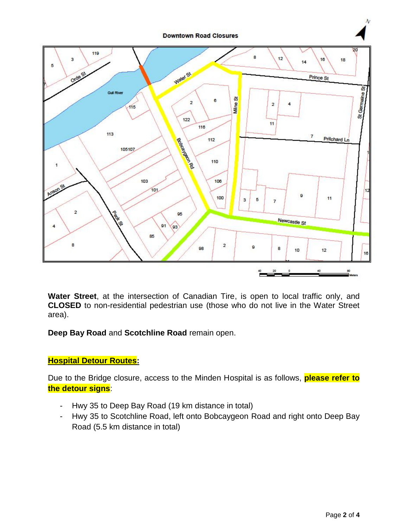

**Water Street**, at the intersection of Canadian Tire, is open to local traffic only, and **CLOSED** to non-residential pedestrian use (those who do not live in the Water Street area).

**Deep Bay Road** and **Scotchline Road** remain open.

## **Hospital Detour Routes:**

Due to the Bridge closure, access to the Minden Hospital is as follows, **please refer to the detour signs**:

- Hwy 35 to Deep Bay Road (19 km distance in total)
- Hwy 35 to Scotchline Road, left onto Bobcaygeon Road and right onto Deep Bay Road (5.5 km distance in total)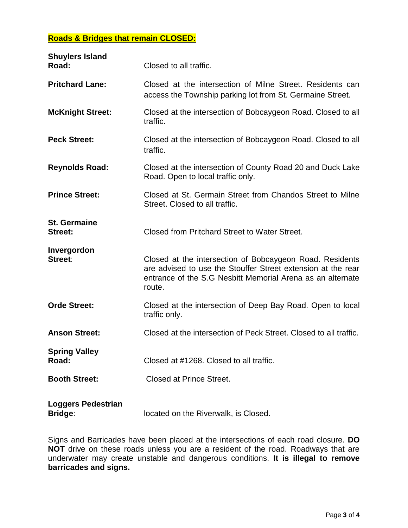#### **Roads & Bridges that remain CLOSED:**

| <b>Shuylers Island</b><br>Road:             | Closed to all traffic.                                                                                                                                                                           |
|---------------------------------------------|--------------------------------------------------------------------------------------------------------------------------------------------------------------------------------------------------|
| <b>Pritchard Lane:</b>                      | Closed at the intersection of Milne Street. Residents can<br>access the Township parking lot from St. Germaine Street.                                                                           |
| <b>McKnight Street:</b>                     | Closed at the intersection of Bobcaygeon Road. Closed to all<br>traffic.                                                                                                                         |
| <b>Peck Street:</b>                         | Closed at the intersection of Bobcaygeon Road. Closed to all<br>traffic.                                                                                                                         |
| <b>Reynolds Road:</b>                       | Closed at the intersection of County Road 20 and Duck Lake<br>Road. Open to local traffic only.                                                                                                  |
| <b>Prince Street:</b>                       | Closed at St. Germain Street from Chandos Street to Milne<br>Street. Closed to all traffic.                                                                                                      |
| <b>St. Germaine</b><br><b>Street:</b>       | Closed from Pritchard Street to Water Street.                                                                                                                                                    |
| Invergordon<br>Street:                      | Closed at the intersection of Bobcaygeon Road. Residents<br>are advised to use the Stouffer Street extension at the rear<br>entrance of the S.G Nesbitt Memorial Arena as an alternate<br>route. |
| <b>Orde Street:</b>                         | Closed at the intersection of Deep Bay Road. Open to local<br>traffic only.                                                                                                                      |
| <b>Anson Street:</b>                        | Closed at the intersection of Peck Street. Closed to all traffic.                                                                                                                                |
| <b>Spring Valley</b><br>Road:               | Closed at #1268. Closed to all traffic.                                                                                                                                                          |
| <b>Booth Street:</b>                        | <b>Closed at Prince Street.</b>                                                                                                                                                                  |
| <b>Loggers Pedestrian</b><br><b>Bridge:</b> | located on the Riverwalk, is Closed.                                                                                                                                                             |

Signs and Barricades have been placed at the intersections of each road closure. **DO NOT** drive on these roads unless you are a resident of the road. Roadways that are underwater may create unstable and dangerous conditions. **It is illegal to remove barricades and signs.**